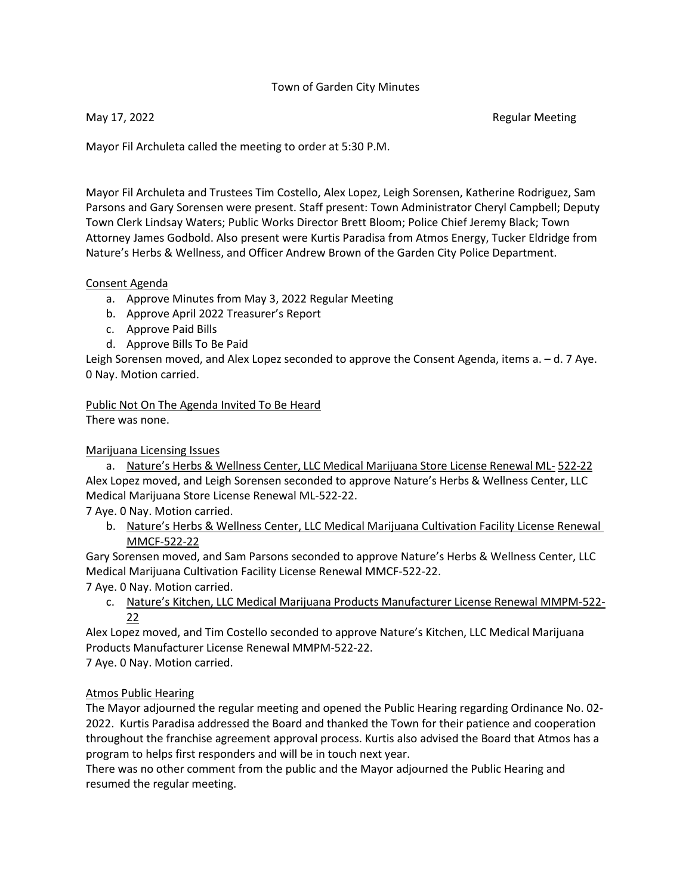#### Town of Garden City Minutes

May 17, 2022 **Regular Meeting** 

Mayor Fil Archuleta called the meeting to order at 5:30 P.M.

Mayor Fil Archuleta and Trustees Tim Costello, Alex Lopez, Leigh Sorensen, Katherine Rodriguez, Sam Parsons and Gary Sorensen were present. Staff present: Town Administrator Cheryl Campbell; Deputy Town Clerk Lindsay Waters; Public Works Director Brett Bloom; Police Chief Jeremy Black; Town Attorney James Godbold. Also present were Kurtis Paradisa from Atmos Energy, Tucker Eldridge from Nature's Herbs & Wellness, and Officer Andrew Brown of the Garden City Police Department.

#### Consent Agenda

- a. Approve Minutes from May 3, 2022 Regular Meeting
- b. Approve April 2022 Treasurer's Report
- c. Approve Paid Bills
- d. Approve Bills To Be Paid

Leigh Sorensen moved, and Alex Lopez seconded to approve the Consent Agenda, items a. – d. 7 Aye. 0 Nay. Motion carried.

Public Not On The Agenda Invited To Be Heard There was none.

Marijuana Licensing Issues

a. Nature's Herbs & Wellness Center, LLC Medical Marijuana Store License Renewal ML- 522-22 Alex Lopez moved, and Leigh Sorensen seconded to approve Nature's Herbs & Wellness Center, LLC Medical Marijuana Store License Renewal ML-522-22.

7 Aye. 0 Nay. Motion carried.

b. Nature's Herbs & Wellness Center, LLC Medical Marijuana Cultivation Facility License Renewal MMCF-522-22

Gary Sorensen moved, and Sam Parsons seconded to approve Nature's Herbs & Wellness Center, LLC Medical Marijuana Cultivation Facility License Renewal MMCF-522-22.

7 Aye. 0 Nay. Motion carried.

c. Nature's Kitchen, LLC Medical Marijuana Products Manufacturer License Renewal MMPM-522- 22

Alex Lopez moved, and Tim Costello seconded to approve Nature's Kitchen, LLC Medical Marijuana Products Manufacturer License Renewal MMPM-522-22.

7 Aye. 0 Nay. Motion carried.

### Atmos Public Hearing

The Mayor adjourned the regular meeting and opened the Public Hearing regarding Ordinance No. 02- 2022. Kurtis Paradisa addressed the Board and thanked the Town for their patience and cooperation throughout the franchise agreement approval process. Kurtis also advised the Board that Atmos has a program to helps first responders and will be in touch next year.

There was no other comment from the public and the Mayor adjourned the Public Hearing and resumed the regular meeting.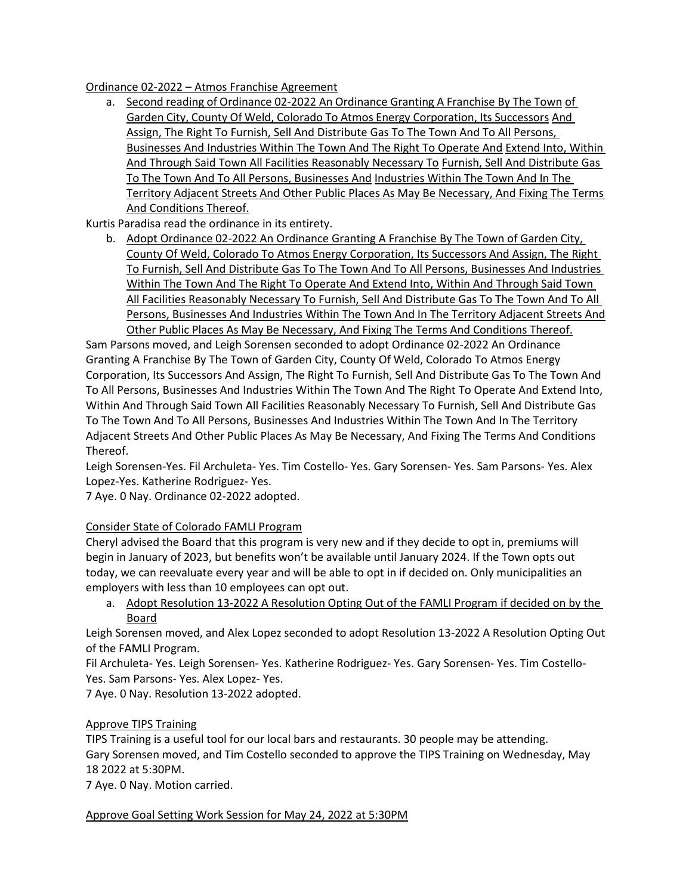#### Ordinance 02-2022 – Atmos Franchise Agreement

a. Second reading of Ordinance 02-2022 An Ordinance Granting A Franchise By The Town of Garden City, County Of Weld, Colorado To Atmos Energy Corporation, Its Successors And Assign, The Right To Furnish, Sell And Distribute Gas To The Town And To All Persons, Businesses And Industries Within The Town And The Right To Operate And Extend Into, Within And Through Said Town All Facilities Reasonably Necessary To Furnish, Sell And Distribute Gas To The Town And To All Persons, Businesses And Industries Within The Town And In The Territory Adjacent Streets And Other Public Places As May Be Necessary, And Fixing The Terms And Conditions Thereof.

Kurtis Paradisa read the ordinance in its entirety.

b. Adopt Ordinance 02-2022 An Ordinance Granting A Franchise By The Town of Garden City, County Of Weld, Colorado To Atmos Energy Corporation, Its Successors And Assign, The Right To Furnish, Sell And Distribute Gas To The Town And To All Persons, Businesses And Industries Within The Town And The Right To Operate And Extend Into, Within And Through Said Town All Facilities Reasonably Necessary To Furnish, Sell And Distribute Gas To The Town And To All Persons, Businesses And Industries Within The Town And In The Territory Adjacent Streets And Other Public Places As May Be Necessary, And Fixing The Terms And Conditions Thereof.

Sam Parsons moved, and Leigh Sorensen seconded to adopt Ordinance 02-2022 An Ordinance Granting A Franchise By The Town of Garden City, County Of Weld, Colorado To Atmos Energy Corporation, Its Successors And Assign, The Right To Furnish, Sell And Distribute Gas To The Town And To All Persons, Businesses And Industries Within The Town And The Right To Operate And Extend Into, Within And Through Said Town All Facilities Reasonably Necessary To Furnish, Sell And Distribute Gas To The Town And To All Persons, Businesses And Industries Within The Town And In The Territory Adjacent Streets And Other Public Places As May Be Necessary, And Fixing The Terms And Conditions Thereof.

Leigh Sorensen-Yes. Fil Archuleta- Yes. Tim Costello- Yes. Gary Sorensen- Yes. Sam Parsons- Yes. Alex Lopez-Yes. Katherine Rodriguez- Yes.

7 Aye. 0 Nay. Ordinance 02-2022 adopted.

### Consider State of Colorado FAMLI Program

Cheryl advised the Board that this program is very new and if they decide to opt in, premiums will begin in January of 2023, but benefits won't be available until January 2024. If the Town opts out today, we can reevaluate every year and will be able to opt in if decided on. Only municipalities an employers with less than 10 employees can opt out.

a. Adopt Resolution 13-2022 A Resolution Opting Out of the FAMLI Program if decided on by the Board

Leigh Sorensen moved, and Alex Lopez seconded to adopt Resolution 13-2022 A Resolution Opting Out of the FAMLI Program.

Fil Archuleta- Yes. Leigh Sorensen- Yes. Katherine Rodriguez- Yes. Gary Sorensen- Yes. Tim Costello-Yes. Sam Parsons- Yes. Alex Lopez- Yes.

7 Aye. 0 Nay. Resolution 13-2022 adopted.

#### Approve TIPS Training

TIPS Training is a useful tool for our local bars and restaurants. 30 people may be attending. Gary Sorensen moved, and Tim Costello seconded to approve the TIPS Training on Wednesday, May 18 2022 at 5:30PM.

7 Aye. 0 Nay. Motion carried.

Approve Goal Setting Work Session for May 24, 2022 at 5:30PM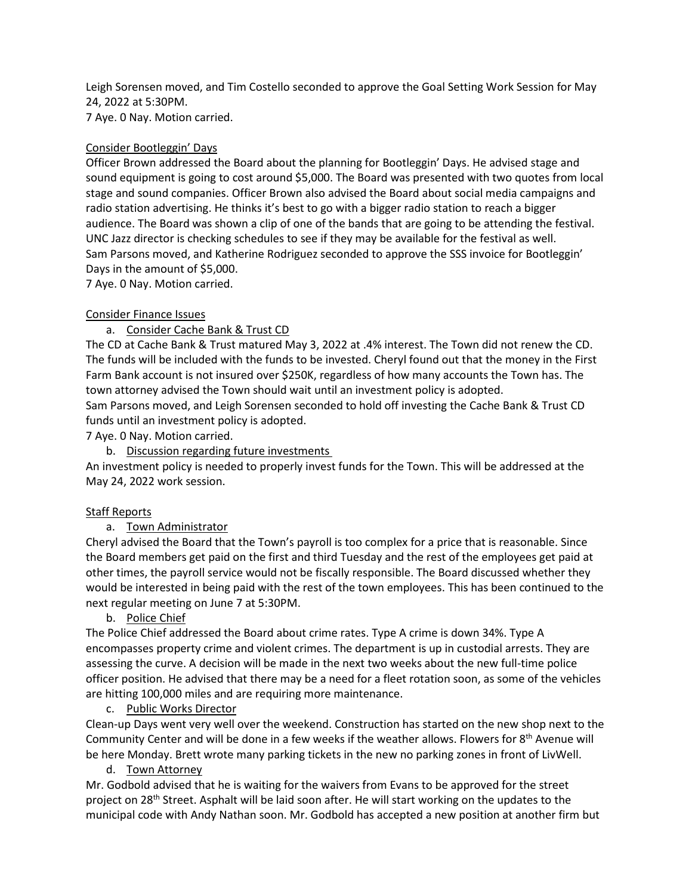Leigh Sorensen moved, and Tim Costello seconded to approve the Goal Setting Work Session for May 24, 2022 at 5:30PM.

7 Aye. 0 Nay. Motion carried.

### Consider Bootleggin' Days

Officer Brown addressed the Board about the planning for Bootleggin' Days. He advised stage and sound equipment is going to cost around \$5,000. The Board was presented with two quotes from local stage and sound companies. Officer Brown also advised the Board about social media campaigns and radio station advertising. He thinks it's best to go with a bigger radio station to reach a bigger audience. The Board was shown a clip of one of the bands that are going to be attending the festival. UNC Jazz director is checking schedules to see if they may be available for the festival as well. Sam Parsons moved, and Katherine Rodriguez seconded to approve the SSS invoice for Bootleggin' Days in the amount of \$5,000.

7 Aye. 0 Nay. Motion carried.

# Consider Finance Issues

### a. Consider Cache Bank & Trust CD

The CD at Cache Bank & Trust matured May 3, 2022 at .4% interest. The Town did not renew the CD. The funds will be included with the funds to be invested. Cheryl found out that the money in the First Farm Bank account is not insured over \$250K, regardless of how many accounts the Town has. The town attorney advised the Town should wait until an investment policy is adopted.

Sam Parsons moved, and Leigh Sorensen seconded to hold off investing the Cache Bank & Trust CD funds until an investment policy is adopted.

7 Aye. 0 Nay. Motion carried.

b. Discussion regarding future investments

An investment policy is needed to properly invest funds for the Town. This will be addressed at the May 24, 2022 work session.

# Staff Reports

# a. Town Administrator

Cheryl advised the Board that the Town's payroll is too complex for a price that is reasonable. Since the Board members get paid on the first and third Tuesday and the rest of the employees get paid at other times, the payroll service would not be fiscally responsible. The Board discussed whether they would be interested in being paid with the rest of the town employees. This has been continued to the next regular meeting on June 7 at 5:30PM.

b. Police Chief

The Police Chief addressed the Board about crime rates. Type A crime is down 34%. Type A encompasses property crime and violent crimes. The department is up in custodial arrests. They are assessing the curve. A decision will be made in the next two weeks about the new full-time police officer position. He advised that there may be a need for a fleet rotation soon, as some of the vehicles are hitting 100,000 miles and are requiring more maintenance.

# c. Public Works Director

Clean-up Days went very well over the weekend. Construction has started on the new shop next to the Community Center and will be done in a few weeks if the weather allows. Flowers for 8th Avenue will be here Monday. Brett wrote many parking tickets in the new no parking zones in front of LivWell.

# d. Town Attorney

Mr. Godbold advised that he is waiting for the waivers from Evans to be approved for the street project on 28<sup>th</sup> Street. Asphalt will be laid soon after. He will start working on the updates to the municipal code with Andy Nathan soon. Mr. Godbold has accepted a new position at another firm but